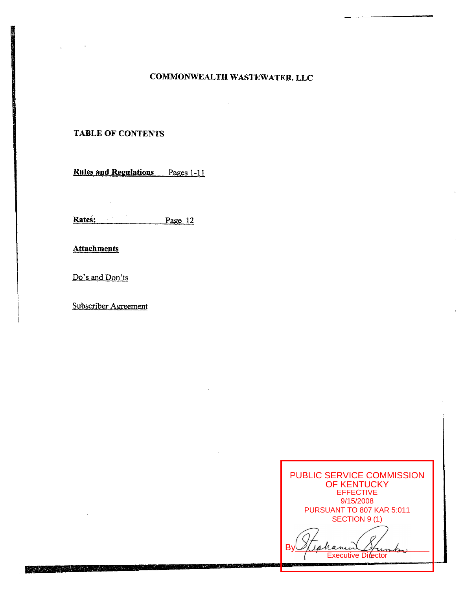## **COMMONWEALTH WASTEWATER. LLC**

## **TABLE OF CONTENTS**

**Rules and Regulations** Pages 1-11

Rates: Page 12

**Attachments** 

Do's and Don'ts

Subscriber Agreement

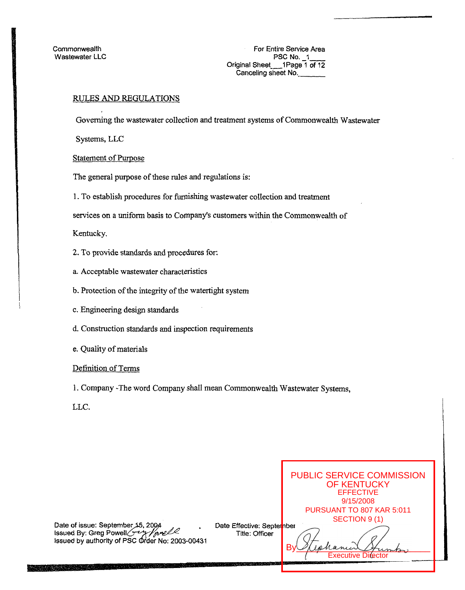**Commonwealth** Wastewater LLC

For Entire Service Area PSC **No.** -1- Original Sheet 1Page 1 of 12 Canceling sheet **No.** 

## RULES **AND** REGULATIONS

Governing the wastewater collection and treatment systems of Commonwealth Wastewater

Systems, LLC

Statement of Purpose

The general purpose of these tules and regulations is:

1. To establish procedures for furnishing wastewater collection and treatment

services on a uniform basis to Company's customers within the Commonwealth *of* 

Kentucky.

- *2.* To provide standards and procedures for:
- a. Acceptable wastewater characteristics
- b. Protection of the integrity of the watertight system
- c. Engineering design standards
- d. Construction standards and inspection requirements
- e. Quality of materials

Definition *of* Terms

1. Company -The word Company shall mean Commonwealth Wastewater Systems,

LLC.

PUBLIC SERVICE COMMISSION OF KENTUCKY EFFECTIVE 9/15/2008 PURSUANT TO 807 KAR 5:011 SECTION 9 (1) Date of issue: September 15, 2004 Date Effective: September<br>Title: Officer **Issued By: Greg Powell Figure 1.2002**<br>Issued by authority of PSC Order No: 2003-00431  $By  $Q$  (ephanical Humbor)$ **Executive Director**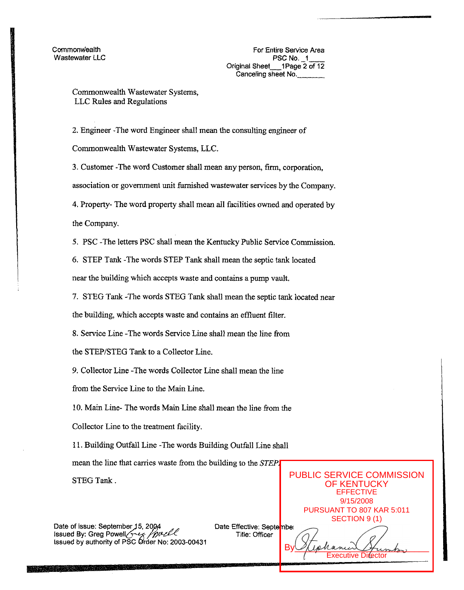## Commonwealth Wastewater Systems, LLC Rules and Regulations

2. Engineer -The word Engineer shall mean the consulting engineer of Commonwealth Wastewater Systems, LLC.

**3.** Customer -The word Customer shall mean any person, *fum,* corporation, association or government unit fiunished wastewater services by the Company. **4.** Property- The word property shall mean all facilities owned and operated by the Company.

5. PSC -The letters PSC shall mean the Kentucky Public Service Commission.

*6.* STEP Tank -The words STEP Tank shall mean the septic tank located near the building which accepts waste and contains a pump vault.

7. STEG Tank -The words STEG Tank shall mean the septic tank located near

the building, which accepts waste and contains an effluent filter.

8. Service Line -The words Service Line shall mean the line from

the STEP/STEG Tank to a Collector Line.

**9.** Collector Line -The words Collector Line shall mean the line

from the Service Line to the Main Line.

10. Main Line- The words Main Line shall mean the line from the

Collector Line to the treatment facility.

11. Building Outfall Line -The words Building Outfall Line shall

mean the line that carries waste from the building to the *STEP*.

STEG Tank.

Date of issue: September 15, 2004<br>Issued By: Greg Powell<br>Issued by authority of PSC Order No: 2003-00431

Date Effective: September

OF KENTUCKY EFFECTIVE 9/15/2008 PURSUANT TO 807 KAR 5:011 SECTION 9 (1)  $By  $Q$$ Executive Director

PUBLIC SERVICE COMMISSION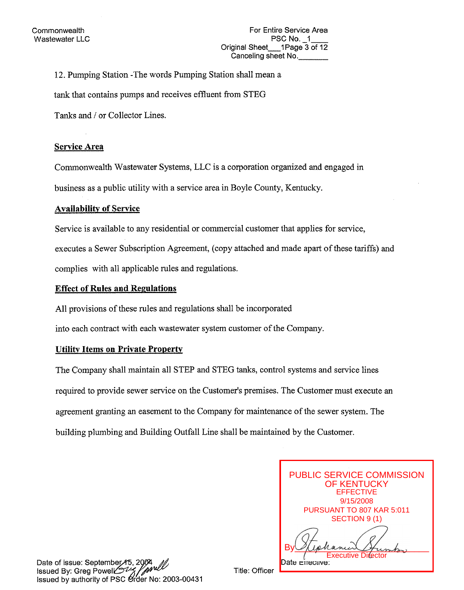**12.** Pumping Station -The words Pumping Station shall mean a

tank that contains pumps and receives effluent from STEG

Tanks and / or Collector Lines.

## **Service Area**

Commonwealth Wastewater Systems, LLC is a corporation organized and engaged in

business as a public utility with a service area in Boyle County, Kentucky.

## **Availability of Service**

Service is available to any residential or commercial customer that applies for service, executes a Sewer Subscription Agreement, (copy attached and made apart of these tariffs) and complies with all applicable rules and regulations.

## **Effect of Rules and Regulations**

**A11** provisions of these rules and regulations shall be incorporated

into each contract with each wastewater system customer of the Company.

## **Utility Items on Private Property**

The Company shall maintain all STEP and STEG tanks, control systems and service lines required to provide sewer service on the Customer's premises. The Customer must execute an agreement granting an easement to the Company for maintenance of the sewer system. The building plumbing and Building Outfall Line shall be maintained by the Customer.

| <b>PUBLIC SERVICE COMMISSION</b><br><b>OF KENTUCKY</b><br><b>EFFECTIVE</b> |
|----------------------------------------------------------------------------|
|                                                                            |
| 9/15/2008                                                                  |
| PURSUANT TO 807 KAR 5:011                                                  |
| SECTION 9 (1)                                                              |
|                                                                            |
| inhance                                                                    |
| <b>Executive Director</b>                                                  |
| reciive:                                                                   |

Date of issue: September 45, 2004<br>Issued By: Greg Powell 22 / Mull<br>Issued by authority of PSC Order No: 2003-00431

Title: Officer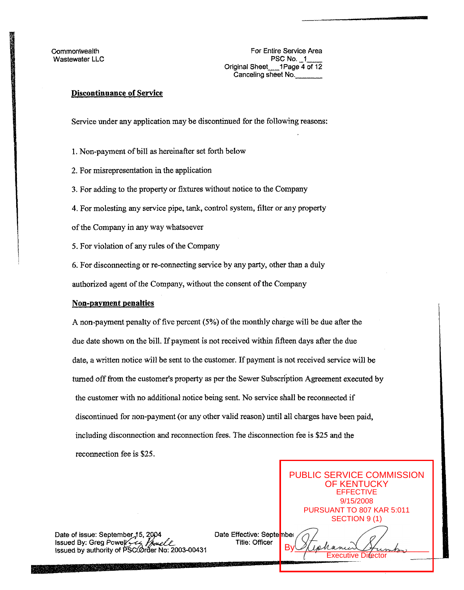**Commonwealth** Wastewater **LLC** 

For Entire Service Area **PSC No. 1** Original Sheet\_\_1Page 4 of 12 Canceling sheet No.

## Discontinuance **of** Service

Service under any application may be discontinued for the following reasons:

1. Non-payment of bill **as** hereinafter set forth below

2. For misrepresentation **in** the application

**3.** For adding to the property or fixtures without notice to the Company

**4.** For molesting any service pipe, tank, control system, filter or any property

of the Company in any way whatsoever

**5.** For violation of any rules of the Company

*6.* For disconnecting or re-connecting service by any party, other than a duly

authorized agent of the Company, without the consent of the Company

#### Non-payment penalties

A non-payment penalty of five percent *(5%)* of the monthly charge will be **due after** the due date shown on the bill. **If** payment is not received within fifteen days aRer the due date, a **written** notice will be sent to the customer. If payment is not received service will be turned *off* from the customer's property as per the Sewer Subscription Agreement executed by the customer with no additional notice being sent. No service shall be reconnected if discontinued for non-payment (or any other valid reason) until all charges have been paid, including disconnection and reconnection fees. The disconnection **fee** is *\$25* and the reconnection fee is \$25.

Date of issue: September 15, 2004<br>Issued By: Greg Powell Computer March 15<br>Issued by authority of PSC Order No: 2003-00431

Date Effective: September

9/15/2008 PURSUANT TO 807 KAR 5:011 SECTION 9 (1)  $By  $Q$$ Executive Director

PUBLIC SERVICE COMMISSION OF KENTUCKY EFFECTIVE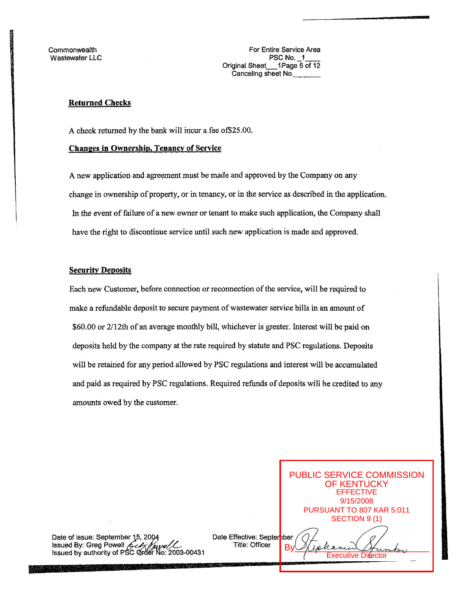**Commonwealth** Wastewater LLC

## **Returned Checks**

A check returned by the bank will incur a fee of \$25.00.

## **Changes in Ownershio, Tenancv of Service**

**A** new application and agreement must be made and approved by the Company on any change in ownership of property, or in tenancy, or in the service **as** described in the application. In the event of failure of a new owner or tenant to make such application, the Company shall have the right to discontinue service until such new application is made and approved.

## **Security Deposits**

Each new Customer, before connection or reconnection of the service, will be required to make a refundable deposit to secure payment of wastewater service bills **in** an amount of \$60.00 or **2/12th** of an average monthly bill, whichever is greater. Interest will be paid on deposits held by the company at the rate required by statute and PSC regulations. Deposits will be retained for any period allowed by PSC regulations and interest will be accumulated and paid **as** required by PSC regulations. Required refunds of deposits will be credited to any amounts owed by the customer.

Date of issue: September 15, 2004<br>Issued By: Greg Powell *Computer September 1993-00431*<br>Issued by authority of PSC Order No: 2003-00431

Date Effective: September<br>D. 9/15/2008 PURSUANT TO 807 KAR 5:011 SECTION 9 (1)  $By  $Q$$ **Executive Difector** 

PUBLIC SERVICE COMMISSION OF KENTUCKY EFFECTIVE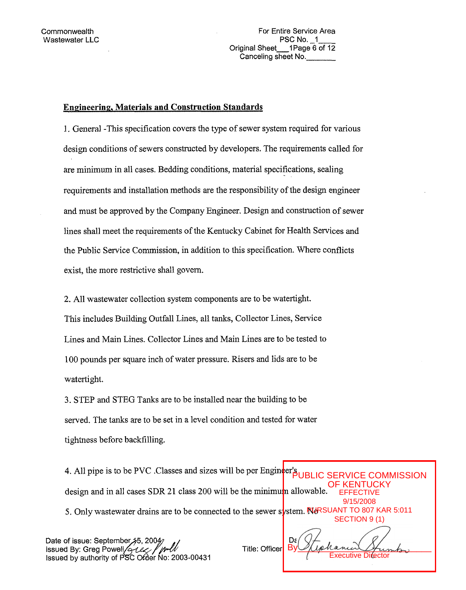For Entire Service Area PSC No. 1 Original Sheet 1Page 6 of 12 Canceling sheet No.

## Engineering, Materials and Construction Standards

1. General -This specification covers the type of sewer system required for various design conditions of sewers constructed by developers. The requirements called for are minimum in all cases. Bedding conditions, material specifications, sealing requirements and installation methods are the responsibility of the design engineer and must be approved by the Company Engineer. Design and construction of sewer lines shall meet the requirements of the Kentucky Cabinet for Health Services and the Public Service Commission, in addition to this specification. Where conflicts exist, the more restrictive shall govern.

2. All wastewater collection system components are to be watertight. This includes Building Outfall Lines, all tanks, Collector Lines, Service Lines and Main Lines. Collector Lines and Main Lines are to be tested to 100 pounds per square inch of water pressure. Risers and lids are to be watertight.

**3.** STEP and STEG Tanks are to be installed near the building to be served. The tanks are to be set in a level condition and tested for water tightness before backfilling.

**4. All pipe is to be PVC .Classes and sizes will be per Engineer's UBLI** design and in all cases SDR 21 class 200 will be the minimum allowable. 5. Only wastewater drains are to be connected to the sewer s**y**stem. No SUANT TO 807 KAR 5:011 **OMMISSION OF KENT FFFFCTIVE** 9/15/2008 SECTION 9 (1)

Date of issue: September 45, 2004<br>Issued By: Greg Powell  $\frac{\partial \mathcal{L}}{\partial x}$  /  $\frac{\partial \mathcal{L}}{\partial y}$ <br>Issued by authority of PSC Order No: 2003-00431

Title: Officer

 $By  $Q$  (ephanical Humbor)$ Executive Director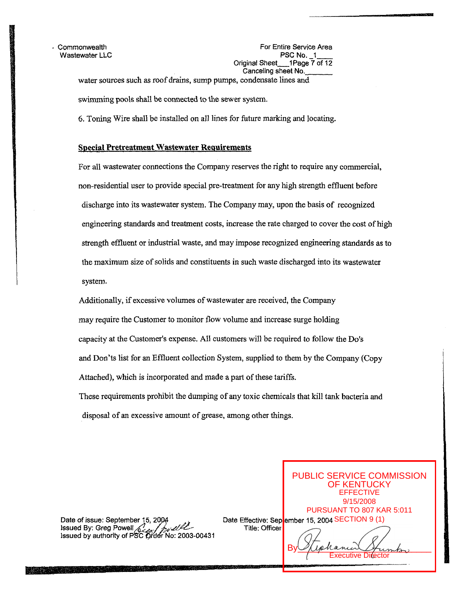**Wastewater LLC** 

. Commonwealth **For Entire Service Area**<br>
Wastewater LLC **FOR SERVICE Area**<br>
PSC No. \_1\_\_\_\_ Original Sheet-1 Page 7 *of* 12 water sources such as roof drains, sump pumps, condensate lines and Canceling sheet No.

swimming pools shall be connected to the **sewer** system.

*6.* Toning Wire shall be installed on all lines for future marking and locating.

## **Special Pretreatment Wastewater Requirements**

For all wastewater connections the Company reserves the right to require any commercial, non-residential user to provide special pre-treatment for any high strength effluent before discharge into its wastewater system. The Company may, upon the basis of recognized engineering standards and treatment costs, increase the rate charged to cover the cost of high strength effluent or industrial waste, and may impose recognized engineering standards as to the maximum size of solids and constituents in such waste discharged into its wastewater system.

Additionally, if excessive volumes of wastewater are received, **the** Company may require the Customer to monitor flow volume and increase surge holding capacity at tbe Customer's expense. All customers will be required to follow the Do's and Don'ts list for an Effluent collection System, supplied to them by the Company (Copy Attached), which is incorporated and made a part of these tariffs. These requirements prohibit the dumping of any toxic chemicals that kill tank bacteria and

disposal of an excessive amount of *grease,* among other things.

Date of issue: September 15, 2004<br>
Issued By: Greg Powell **Title: Officer**<br>
Issued by authority of PSC Order No: 2003-00431

Date Effective: Sep<mark>l</mark>ember 15, 2004 SECTION 9 (1)

 $By  $Q$  (ephanical Humbor)$ cutive Di**r**ector

PUBLIC SERVICE COMMISSION OF KENTUCKY EFFECTIVE 9/15/2008 PURSUANT TO 807 KAR 5:011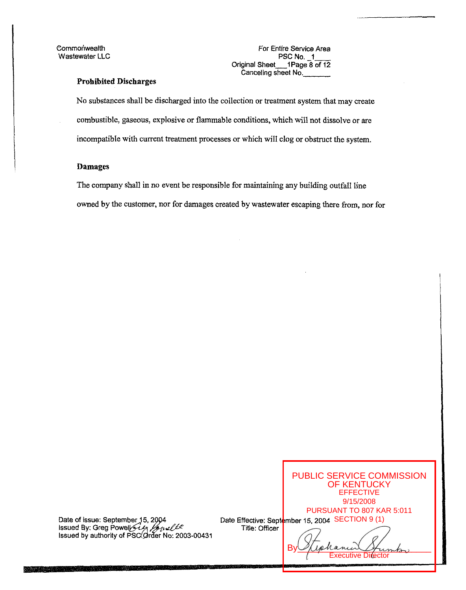**Wastewater LLC** 

Commonwealth For Entire Service Area<br>
Vastewater LLC<br>
PSC No. 1 Original Sheet-1 Page **8** *of* 12 Canceling sheet No.-

## **Prohibited Discharges**

No substances shall be discharged into the collection or treatment system that may create combustible, gaseous, explosive or flammable conditions, which will not dissolve or are incompatible with current treatment processes or which will clog or obstruct the system.

#### **Damages**

The company shall in no event be responsible for maintaining any building outfall line owned by the customer, nor for damages created by wastewater escaping there *from,* nor **for** 

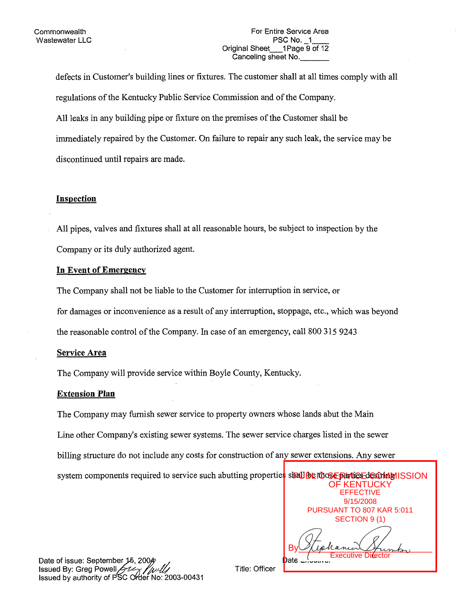defects in Customer's building lines or fixtures. The customer shall at all times comply with all regulations of the Kentucky Public Service Commission and of the Company. All leaks in any building pipe or fixture on the premises of the Customer shall be immediately repaired by the Customer. On failure to repair any such leak, the service may be discontinued until repairs are made.

## **Insoection**

All pipes, valves and fixtures shall at all reasonable hours, be subject to inspection by the Company or its duly authorized agent.

## **In Event of Emergency**

The Company shall not be liable to the Customer for interruption in service, or

for damages or inconvenience as a result of any intemption, stoppage, etc., which was beyond

the reasonable control of the Company. In case of an emergency, call 800 **3** 15 **9243** 

## **Service Area**

The Company will provide service within Boyle County, Kentucky

## **Extension Plan**

The Company may furnish sewer service to property owners whose lands abut the Main Line other Company's existing sewer systems. The sewer service charges listed in the sewer billing structure do not include any costs for construction of any sewer extensions. Any sewer system components required to service such abutting properties shall

| <b>PAU BE I'DOSE RAVIE E JE OD MINI SSION</b> |
|-----------------------------------------------|
| <b>OF KENTUCKY</b>                            |
| <b>EFFECTIVE</b>                              |
| 9/15/2008                                     |
| PURSUANT TO 807 KAR 5:011                     |
| SECTION 9 (1)                                 |
|                                               |

 $By  $\mathcal{Q}(\mathit{tplanum} \mathcal{A}_1)$$ Executive Director

Date of issue: September Issued By: Greg Powell **Issued by authority of PSC Order No. 2003-00431** 

Title: Officer

Date Effective:"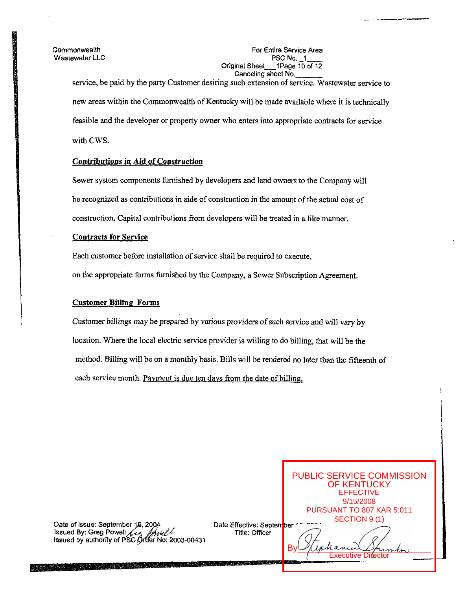Wastewater LLC

## Commonwealth For Entire Service Area<br>
Wastewater LLC<br>
PSC No. 1 Original Sheet 1Page 10 of 12 Canceling sheet No.

service, be paid by the party Customer desiring such extension of service. Wastewater service to new areas within the Commonwealth of Kentucky will be made available where it is technically feasible and the developer or property owner who enters into appropriate contracts for service with CWS.

## Contributions in Aid *of* Construction

Sewer system components furnished by developers and land owners to the Company will be recognized as contributions in aide of construction in the amount of the actual cost of construction. Capital contributions from developers will be treated in a like manner.

## Contracts for Service

Each customer before installation of service shall be required to execute,

on the appropriate forms furnished by the Company, a Sewer Subscription Agreement.

## Customer Billing Forms

Customer billings may be prepared by various providers of such service **and** will vary by location. Where the local electric service provider is willing to do billing, that will be the method. Billing will be on a monthly basis. Bills will be rendered no later than the fifteenth of each service month. Payment is due ten days from the date of billing,

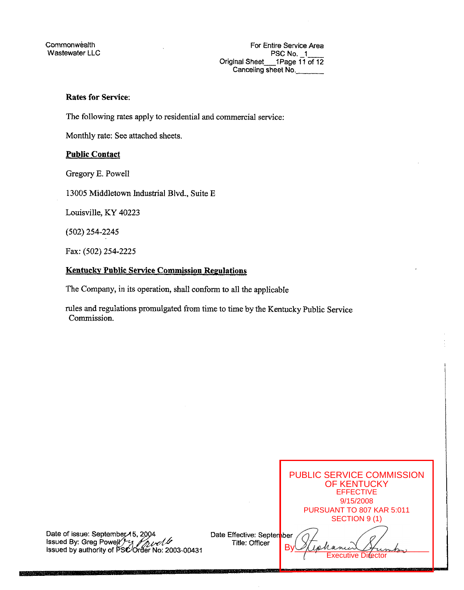## **Rates for Service:**

The following rates apply to residential and commercial service:

Monthly rate: *See* attached sheets.

## **Public Contact**

Gregory E. Powell

13005 Middletown Industrial Blvd., Suite E

Louisville, KY 40223

(502) 254-2245

Fax: (502) 254-2225

## **Kentuekv Public Service Commission Regulations**

The Company, in its operation, shall conform to all the applicable

rules **and** regulations promulgated from time to time by the Kentucky Public Service Commission.

|    |                                             | PUBLIC SERVICE COMMISSION<br><b>OF KENTUCKY</b><br><b>EFFECTIVE</b><br>9/15/2008 |
|----|---------------------------------------------|----------------------------------------------------------------------------------|
|    |                                             | PURSUANT TO 807 KAR 5:011                                                        |
|    |                                             | SECTION 9 (1)                                                                    |
| ោ1 | Date Effective: Septenber<br>Title: Officer | rance<br><b>Executive Difector</b>                                               |

Date of issue: September 15, 2004<br>Issued By: Greg Powel <sup>y-2</sup>3 **//pueller**<br>Issued by authority of PSCOrder No: 2003-004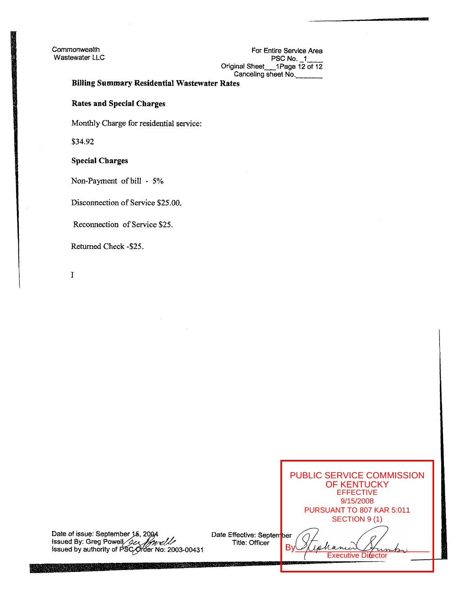Commonwealth For Entire Service Area Wastewater LLC **No. PSC No. PSC No. 1- PSC No. 1- PSC No. 1- PSC No. 1-**Original Sheet-IPage *12* of **12**  Canceling sheet No.

## **Billing Summary Residential Wastewater Rates**

**Rates and Special Charges** 

Monthly Charge *for* residential service:

\$34.92

## **Special Charges**

Non-Payment **ofbill** - 5%

Disconnection **of** Service *\$25.00.* 

Reconnection of Service \$25.

Returned Check -\$25.

I

Date of issue: September issued **By:** Greg Powel

Date Effective: September Title: Officer

 $By  $Q$  (ephanical Humbor)$ **Executive Director** 

PUBLIC SERVICE COMMISSION OF KENTUCKY EFFECTIVE 9/15/2008 PURSUANT TO 807 KAR 5:011 SECTION 9 (1)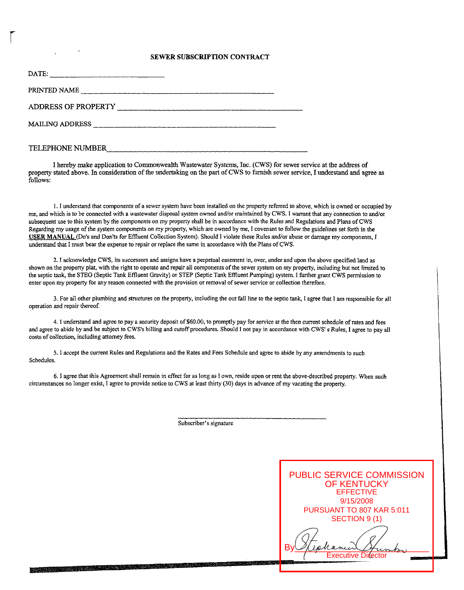#### **SEWER SUBSCRIPTION CONTRACT**

| DATE:                      |  |
|----------------------------|--|
| PRINTED NAME               |  |
| <b>ADDRESS OF PROPERTY</b> |  |
| <b>MAILING ADDRESS</b>     |  |
| TELEPHONE NUMBER           |  |

I hereby make application *to* Commonwealth Wastewater Systems, Inc. (CWS) for sewer service at the address of property stated above. In consideration of the undewking on the part **of** CWS to furnish sewer service, I understand and agree **as**  follows:

1. I understand that components of a sewer system have been installed on the property referred to above, which is owned or occupied by me, and which is to be connected with a wastewater disposa) system owned and/or maintained by CWS. I warrant that any connection to and/or subsequent use to this system by the components on my property shall be in accordance with the Rules and Regulations and Plans of CWS Regarding my usage of the system components **on** my property, which are owned by me, I covenant to follow the guidelines set forth in the **USER** MANUAL **(Do%** and Don'ts for ERuent Collection System). Should 1 violate these Rules and/or abuse or damage my components, I understand that I must bear the expense to repair or replace the same in accordance with the Plans of CWS.

2. I acknowledge CWS, its successors and assigns have a perpetual easement in, over, under and upon the above specified land **as**  shown on the property plat, with the right to operate and repair all components of the sewer system on my property, including but not limited to the septic tank, the **STEG** (Septic Tank Effluent Gravity) or STEP **(Septic** Tank Effluent Pumping) system. I further **gmnt** CWS permission to enter upon my property for any reason connected with the provision or removal of sewer service or collection therefore.

3. For all other plumbing and smctures **on** the property, including the out fall line to the septic tank, **I** agree that I **am** responsible for all operation and repair thereof.

4. I understand and agree to pay a security deposit of \$60.00, to promptly pay for service at the then current schedule of rates and fees and agree to abide by and be subject to CWS's billing and cutoff procedures. Should I not pay in accordance with CWS' **s** Rules, I agree to pay all costs of collection, including attorney fees.

*5.* I accept the current Rules and Regulations and the Rates and Fees Schedule and agree to abide by any amendments to such Schedules.

**6.** I agree that this Agreement shall remain in effect for **as** long **as** 1 own, reside upon or rent the above-described property. When such circumstances **no** longer exist, I agree to provide notice to CWS a1 least thirty (30) days in advance of my vacating the property.

Subscriber's signature

<u> 1989 - Johann Stein, fransk politik (f. 1989)</u>

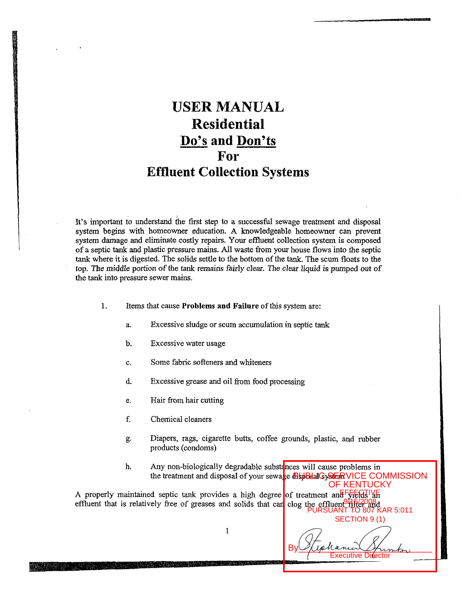# **USER MANUAL Residential DO'S and Don'ts For Effluent Collection Systems**

It's important to understand the first step to a successful sewage treatment and disposal system begins with homeowner education. A knowledgeable homeowner can prevent system damage and eliminate costly repairs. Your effluent collection system is composed of a septic tank and plastic pressure mains. All waste from your house flows into the septic tank where it is digested. The solids settle to the bottom **of** the tank. The scum floats to the **top.** The middle portion of the tank remains fairly clear. The clear liquid is pumped *out* of the tank into pressure sewer mains.

- 1. Items that cause **Problems and Failure** of this system are:
	- a. Excessive sludge or scum accumulation in septic tank
	- b. Excessive water usage
	- C. Some fahric sofieners and whiteners
	- d. Excessive grease and oil from food processing
	- e. Hair **from** hair cutting
	- f. Chemical cleaners
	- €5 Diapers, rags, cigarette butts, coffee grounds, plastic, **and** rubber products (condoms)
	- h. Any non-biologically degradable substances will cause problems in the treatment and disposal of your sewage **RepBelalGyStER** VICE COMMISSION

A properly maintained septic tank provides a high degree of treatment and  $F_{\sqrt{2}}F_{\sqrt{2}}$ effluent that is relatively free of greases and solids that can clog the effluent<sup>9</sup> file and  $XAR 5:011$ 

SECTION 9 (1)  $By  $\mathcal{Q}(\mathit{tplanum} \mathcal{A}_1)$$ **Executive Director** 

OF KENTUCKY

 $\mathbf{1}$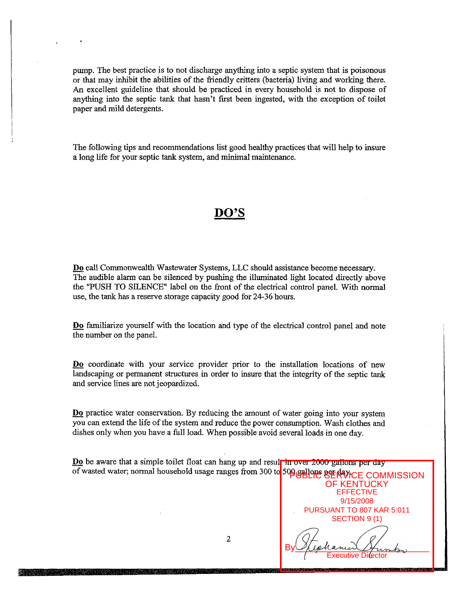pump. The best practice is to not discharge anything into a septic system that is poisonous or that may inhibit the abilities of the fiiendly critters (bacteria) living and working there. An excellent guideline that should be practiced in every household is not to dispose of anything into the septic tank that hasn't first been ingested, with the exception of toilet paper and mild detergents.

The following tips and recommendations list good healthy practices **that** will help to insure a long life for your septic tank system, and minimal maintenance.

## **DO'S**

- **Do** call Commonwealth Wastewater Systems, LLC should assistance become necessary. The audibie alarm can be silenced by pushing the illuminated light located directly above the "PUSH TO SILENCE" label on the fiont of the electrical control panel. With normal use, the tank has a reserve storage capacity good for **24-36** hours.

- **Do** familiarize yourself with the location and type of the electrical control panel and note the number on the panel.

- **Do** coordinate with your service provider prior to the installation locations of new landscaping or permanent structures in order to insure that the integrity of the septic tank and service lines are not jeopardized.

**Do** practice water conservation. By reducing the amount of water going into your system you can extend the life of the system and reduce the power consumption. Wash clothes and dishes only when you have a full load. When possible avoid several loads in one day.

Do be aware that a simple toilet float can hang up and result in over 2000 gallons per day of wasted water; normal household usage ranges from 300 to 500 gallone BE RAYICE COMMISSION

> OF KENTUCKY EFFECTIVE 9/15/2008 PURSUANT TO 807 KAR 5:011 SECTION 9 (1)

 $By  $Q$  (ephanical Humbor)$ Executive Director

2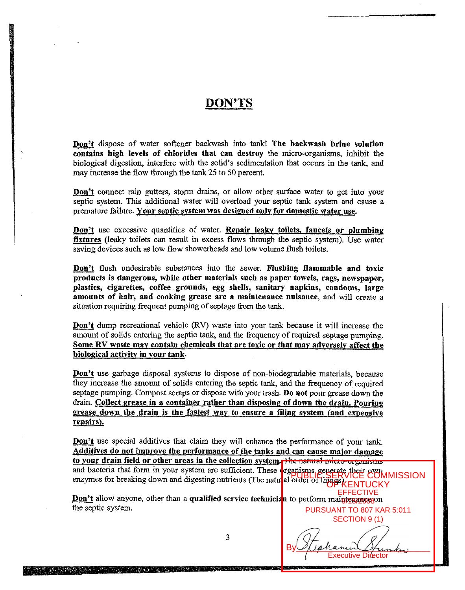## **DON'TS**

Don't dispose of water softener backwash into tank! The backwash brine solution contains bigb levels of chlorides that can destroy the micro-organisms, inhibit the biological digestion, interfere with the solid's sedimentation that occurs in the tank, and may increase the flow through the tank 25 to 50 percent. **Don't** dispose of water softener backwash into tank! The backwash brine solution contains high levels of chlorides that can destroy the micro-organisms, inhibit the biological digestion, interfere with the solid's sedimen

septic system. This additional water will overload your septic tank system and cause a premature failure. Your septic system was designed only for domestic water use. may increase the flow through the tank 25 to 50 percent.<br> **Don't** connect rain gutters, storm drains, or allow other surface water to get into your<br>
septic system. This additional water will overload your septic tank syste

fixtures (leaky toilets can result in excess flows **through** the septic system). Use water saving devices such as low flow showerheads and low volume flush toilets. **Don't** use excessive quantities of water. **Repair leaky toilets, faucets or plumbing fixtures** (leaky toilets can result in excess flows through the septic system). Use water saving devices such as low flow showerheads an

products is dangerous, while other materials such as paper towels, rags, newspaper, plastics, cigarettes, coffee grounds, egg shells, sanitary napkins, condoms, large amounts of hair, and cooking grease are a maintenance nuisance, and will create a situation requiring frequent pumping of septage from the tank.

Don't dump recreational vehicle (RV) waste into your tank because it will increase the amount of solids entering the septic tank, and the frequency of required septage pumping. Some **RV** waste may contain chemicals that are toxic or that mav adverselv affect the biolopical activitv in your tank.

Don't use garbage disposal systems to dispose of non-biodegradable materials, because they increase the amount of solids entering the septic tank, and the frequency of required septage pumping. Compost scraps or dispose with your trash. Do not pour grease down the drain. Collect grease in a container rather than disposine of down the drain. Pouring grease down the drain is the fastest way to ensure a filing system (and expensive repairs). they increase the amount of sollus entering the septic tank, and the frequency of required<br>septage pumping. Compost scraps or dispose with your trash. **Do not** pour grease down the<br>drain. Collect grease in a container rath

Additives do not improve the performance of the tanks and can cause maior damage to your drain field or other areas in the collection svstem. The natural micro-organisms and bacteria that form in your system are sufficient. These organisms generate their own enzymes for breaking down and digesting nutrients (The natural order of the RSVICE COMI **Don't use special additives that claim they will enhance the performance of your tank.**<br> **Additives do not improve the performance of the tanks and can cause major damage to your drain field or other areas in the collecti PUBLIC SERVICE COMMISSION** 

the septic system. EFFECTIVE Don't allow anyone, other than a qualified service technician to perform maintenances PURSUANT TO 807 KAR 5:011

SECTION 9 (1)  $By  $Q$  (ephanical Humbor)$ Executive Director

3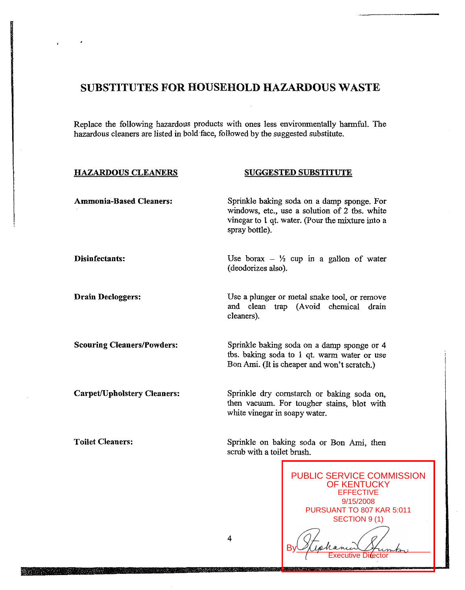## **SUBSTITUTES FOR HOUSEHOLD HAZARDOUS WASTE**

Replace the following hazardous products with ones less environmentally harmful. The hazardous cleaners are listed in bold.face, followed by the suggested substitute.

#### **HAZARDOUS CLEANERS SUGGESTED SUBSTITUTE**

| <b>Ammonia-Based Cleaners:</b>     | Sprinkle baking soda on a damp sponge. For<br>windows, etc., use a solution of 2 tbs. white<br>vinegar to 1 qt. water. (Pour the mixture into a<br>spray bottle). |
|------------------------------------|-------------------------------------------------------------------------------------------------------------------------------------------------------------------|
| Disinfectants:                     | Use borax $ \frac{1}{2}$ cup in a gallon of water<br>(deodorizes also).                                                                                           |
| <b>Drain Decloggers:</b>           | Use a plunger or metal snake tool, or remove<br>and clean trap (Avoid chemical drain<br>cleaners).                                                                |
| <b>Scouring Cleaners/Powders:</b>  | Sprinkle baking soda on a damp sponge or 4<br>tbs. baking soda to 1 qt. warm water or use<br>Bon Ami. (It is cheaper and won't scratch.)                          |
| <b>Carpet/Upholstery Cleaners:</b> | Sprinkle dry cornstarch or baking soda on,<br>then vacuum. For tougher stains, blot with<br>white vinegar in soapy water.                                         |
| <b>Toilet Cleaners:</b>            | Sprinkle on baking soda or Bon Ami, then                                                                                                                          |

PUBLIC SERVICE COMMISSION OF KENTUCKY EFFECTIVE 9/15/2008 PURSUANT TO 807 KAR 5:011 SECTION 9 (1)  $By  $Q$  (ephanical Humbor)$ 

Director

4

scrub with a toilet brush.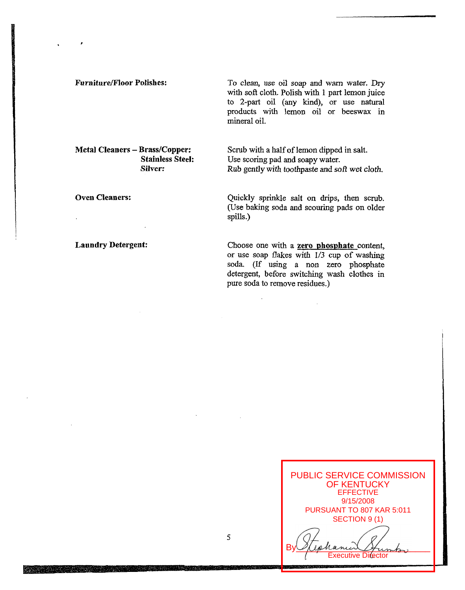**Furniture/Floor Polishes:** To clean, use oil soap and warn water. Dry with soft cloth. Polish with 1 part lemon juice to 2-part oil (any kind), or **use** natural products with lemon oil or beeswax in mineral oil.

**Stainless Steel: Silver:** 

**Oven Cleaners:** 

## **Laundry Detergent:**

**Metal Cleaners - Brass/Copper:** Scrub with a half of lemon dipped in salt. Use scoring pad and soapy water. Rub gently **with** toothpaste and *soft* wet cloth.

> Quickly sprinkle salt on drips, then scrub. (Use baking soda and scouring pads on older spills.)

> Choose one with a **zero phosphate** content, or use soap flakes with **I/3** cup of washing soda (If using a non zero phosphate detergent, before switching wash clothes in pure soda to remove residues.)



5